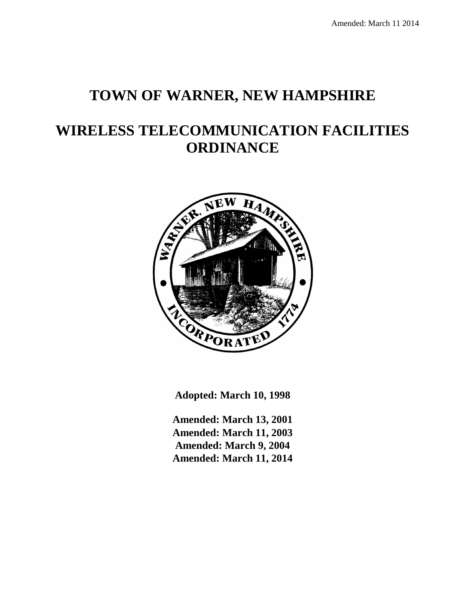## **TOWN OF WARNER, NEW HAMPSHIRE**

# **WIRELESS TELECOMMUNICATION FACILITIES ORDINANCE**



**Adopted: March 10, 1998** 

**Amended: March 13, 2001 Amended: March 11, 2003 Amended: March 9, 2004 Amended: March 11, 2014**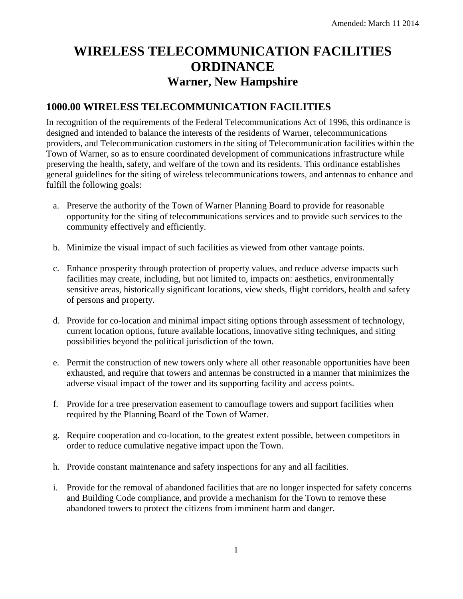## **WIRELESS TELECOMMUNICATION FACILITIES ORDINANCE Warner, New Hampshire**

### **1000.00 WIRELESS TELECOMMUNICATION FACILITIES**

In recognition of the requirements of the Federal Telecommunications Act of 1996, this ordinance is designed and intended to balance the interests of the residents of Warner, telecommunications providers, and Telecommunication customers in the siting of Telecommunication facilities within the Town of Warner, so as to ensure coordinated development of communications infrastructure while preserving the health, safety, and welfare of the town and its residents. This ordinance establishes general guidelines for the siting of wireless telecommunications towers, and antennas to enhance and fulfill the following goals:

- a. Preserve the authority of the Town of Warner Planning Board to provide for reasonable opportunity for the siting of telecommunications services and to provide such services to the community effectively and efficiently.
- b. Minimize the visual impact of such facilities as viewed from other vantage points.
- c. Enhance prosperity through protection of property values, and reduce adverse impacts such facilities may create, including, but not limited to, impacts on: aesthetics, environmentally sensitive areas, historically significant locations, view sheds, flight corridors, health and safety of persons and property.
- d. Provide for co-location and minimal impact siting options through assessment of technology, current location options, future available locations, innovative siting techniques, and siting possibilities beyond the political jurisdiction of the town.
- e. Permit the construction of new towers only where all other reasonable opportunities have been exhausted, and require that towers and antennas be constructed in a manner that minimizes the adverse visual impact of the tower and its supporting facility and access points.
- f. Provide for a tree preservation easement to camouflage towers and support facilities when required by the Planning Board of the Town of Warner.
- g. Require cooperation and co-location, to the greatest extent possible, between competitors in order to reduce cumulative negative impact upon the Town.
- h. Provide constant maintenance and safety inspections for any and all facilities.
- i. Provide for the removal of abandoned facilities that are no longer inspected for safety concerns and Building Code compliance, and provide a mechanism for the Town to remove these abandoned towers to protect the citizens from imminent harm and danger.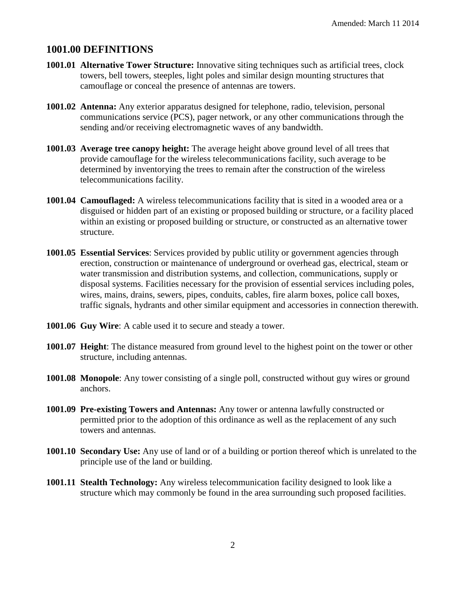#### **1001.00 DEFINITIONS**

- **1001.01 Alternative Tower Structure:** Innovative siting techniques such as artificial trees, clock towers, bell towers, steeples, light poles and similar design mounting structures that camouflage or conceal the presence of antennas are towers.
- **1001.02 Antenna:** Any exterior apparatus designed for telephone, radio, television, personal communications service (PCS), pager network, or any other communications through the sending and/or receiving electromagnetic waves of any bandwidth.
- **1001.03 Average tree canopy height:** The average height above ground level of all trees that provide camouflage for the wireless telecommunications facility, such average to be determined by inventorying the trees to remain after the construction of the wireless telecommunications facility.
- **1001.04 Camouflaged:** A wireless telecommunications facility that is sited in a wooded area or a disguised or hidden part of an existing or proposed building or structure, or a facility placed within an existing or proposed building or structure, or constructed as an alternative tower structure.
- **1001.05 Essential Services**: Services provided by public utility or government agencies through erection, construction or maintenance of underground or overhead gas, electrical, steam or water transmission and distribution systems, and collection, communications, supply or disposal systems. Facilities necessary for the provision of essential services including poles, wires, mains, drains, sewers, pipes, conduits, cables, fire alarm boxes, police call boxes, traffic signals, hydrants and other similar equipment and accessories in connection therewith.
- **1001.06 Guy Wire**: A cable used it to secure and steady a tower.
- **1001.07 Height**: The distance measured from ground level to the highest point on the tower or other structure, including antennas.
- **1001.08 Monopole**: Any tower consisting of a single poll, constructed without guy wires or ground anchors.
- **1001.09 Pre-existing Towers and Antennas:** Any tower or antenna lawfully constructed or permitted prior to the adoption of this ordinance as well as the replacement of any such towers and antennas.
- **1001.10 Secondary Use:** Any use of land or of a building or portion thereof which is unrelated to the principle use of the land or building.
- **1001.11 Stealth Technology:** Any wireless telecommunication facility designed to look like a structure which may commonly be found in the area surrounding such proposed facilities.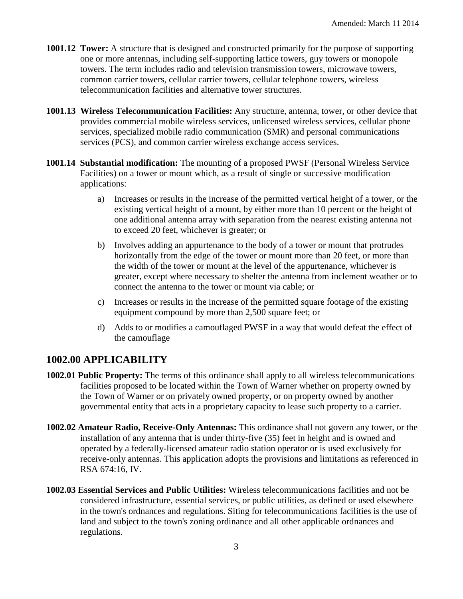- **1001.12 Tower:** A structure that is designed and constructed primarily for the purpose of supporting one or more antennas, including self-supporting lattice towers, guy towers or monopole towers. The term includes radio and television transmission towers, microwave towers, common carrier towers, cellular carrier towers, cellular telephone towers, wireless telecommunication facilities and alternative tower structures.
- **1001.13 Wireless Telecommunication Facilities:** Any structure, antenna, tower, or other device that provides commercial mobile wireless services, unlicensed wireless services, cellular phone services, specialized mobile radio communication (SMR) and personal communications services (PCS), and common carrier wireless exchange access services.
- **1001.14 Substantial modification:** The mounting of a proposed PWSF (Personal Wireless Service Facilities) on a tower or mount which, as a result of single or successive modification applications:
	- a) Increases or results in the increase of the permitted vertical height of a tower, or the existing vertical height of a mount, by either more than 10 percent or the height of one additional antenna array with separation from the nearest existing antenna not to exceed 20 feet, whichever is greater; or
	- b) Involves adding an appurtenance to the body of a tower or mount that protrudes horizontally from the edge of the tower or mount more than 20 feet, or more than the width of the tower or mount at the level of the appurtenance, whichever is greater, except where necessary to shelter the antenna from inclement weather or to connect the antenna to the tower or mount via cable; or
	- c) Increases or results in the increase of the permitted square footage of the existing equipment compound by more than 2,500 square feet; or
	- d) Adds to or modifies a camouflaged PWSF in a way that would defeat the effect of the camouflage

## **1002.00 APPLICABILITY**

- **1002.01 Public Property:** The terms of this ordinance shall apply to all wireless telecommunications facilities proposed to be located within the Town of Warner whether on property owned by the Town of Warner or on privately owned property, or on property owned by another governmental entity that acts in a proprietary capacity to lease such property to a carrier.
- **1002.02 Amateur Radio, Receive-Only Antennas:** This ordinance shall not govern any tower, or the installation of any antenna that is under thirty-five (35) feet in height and is owned and operated by a federally-licensed amateur radio station operator or is used exclusively for receive-only antennas. This application adopts the provisions and limitations as referenced in RSA 674:16, IV.
- **1002.03 Essential Services and Public Utilities:** Wireless telecommunications facilities and not be considered infrastructure, essential services, or public utilities, as defined or used elsewhere in the town's ordnances and regulations. Siting for telecommunications facilities is the use of land and subject to the town's zoning ordinance and all other applicable ordnances and regulations.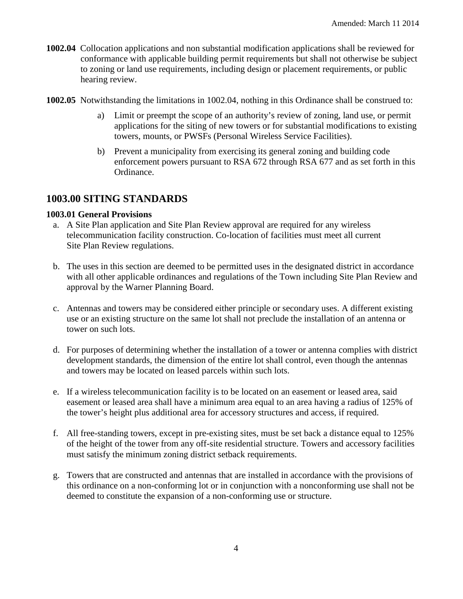- **1002.04** Collocation applications and non substantial modification applications shall be reviewed for conformance with applicable building permit requirements but shall not otherwise be subject to zoning or land use requirements, including design or placement requirements, or public hearing review.
- **1002.05** Notwithstanding the limitations in 1002.04, nothing in this Ordinance shall be construed to:
	- a) Limit or preempt the scope of an authority's review of zoning, land use, or permit applications for the siting of new towers or for substantial modifications to existing towers, mounts, or PWSFs (Personal Wireless Service Facilities).
	- b) Prevent a municipality from exercising its general zoning and building code enforcement powers pursuant to RSA 672 through RSA 677 and as set forth in this Ordinance.

## **1003.00 SITING STANDARDS**

#### **1003.01 General Provisions**

- a. A Site Plan application and Site Plan Review approval are required for any wireless telecommunication facility construction. Co-location of facilities must meet all current Site Plan Review regulations.
- b. The uses in this section are deemed to be permitted uses in the designated district in accordance with all other applicable ordinances and regulations of the Town including Site Plan Review and approval by the Warner Planning Board.
- c. Antennas and towers may be considered either principle or secondary uses. A different existing use or an existing structure on the same lot shall not preclude the installation of an antenna or tower on such lots.
- d. For purposes of determining whether the installation of a tower or antenna complies with district development standards, the dimension of the entire lot shall control, even though the antennas and towers may be located on leased parcels within such lots.
- e. If a wireless telecommunication facility is to be located on an easement or leased area, said easement or leased area shall have a minimum area equal to an area having a radius of 125% of the tower's height plus additional area for accessory structures and access, if required.
- f. All free-standing towers, except in pre-existing sites, must be set back a distance equal to 125% of the height of the tower from any off-site residential structure. Towers and accessory facilities must satisfy the minimum zoning district setback requirements.
- g. Towers that are constructed and antennas that are installed in accordance with the provisions of this ordinance on a non-conforming lot or in conjunction with a nonconforming use shall not be deemed to constitute the expansion of a non-conforming use or structure.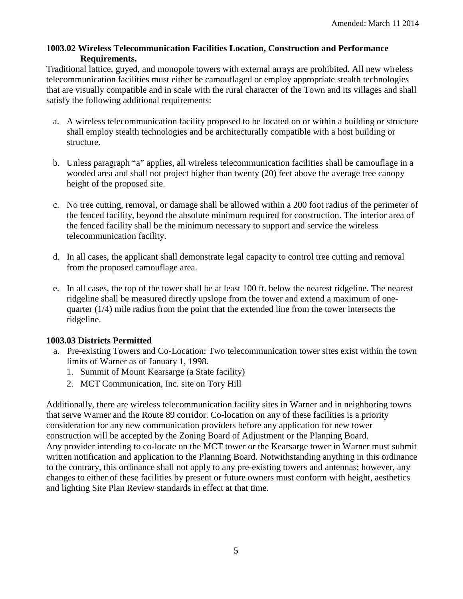#### **1003.02 Wireless Telecommunication Facilities Location, Construction and Performance Requirements.**

Traditional lattice, guyed, and monopole towers with external arrays are prohibited. All new wireless telecommunication facilities must either be camouflaged or employ appropriate stealth technologies that are visually compatible and in scale with the rural character of the Town and its villages and shall satisfy the following additional requirements:

- a. A wireless telecommunication facility proposed to be located on or within a building or structure shall employ stealth technologies and be architecturally compatible with a host building or structure.
- b. Unless paragraph "a" applies, all wireless telecommunication facilities shall be camouflage in a wooded area and shall not project higher than twenty (20) feet above the average tree canopy height of the proposed site.
- c. No tree cutting, removal, or damage shall be allowed within a 200 foot radius of the perimeter of the fenced facility, beyond the absolute minimum required for construction. The interior area of the fenced facility shall be the minimum necessary to support and service the wireless telecommunication facility.
- d. In all cases, the applicant shall demonstrate legal capacity to control tree cutting and removal from the proposed camouflage area.
- e. In all cases, the top of the tower shall be at least 100 ft. below the nearest ridgeline. The nearest ridgeline shall be measured directly upslope from the tower and extend a maximum of onequarter (1/4) mile radius from the point that the extended line from the tower intersects the ridgeline.

#### **1003.03 Districts Permitted**

- a. Pre-existing Towers and Co-Location: Two telecommunication tower sites exist within the town limits of Warner as of January 1, 1998.
	- 1. Summit of Mount Kearsarge (a State facility)
	- 2. MCT Communication, Inc. site on Tory Hill

Additionally, there are wireless telecommunication facility sites in Warner and in neighboring towns that serve Warner and the Route 89 corridor. Co-location on any of these facilities is a priority consideration for any new communication providers before any application for new tower construction will be accepted by the Zoning Board of Adjustment or the Planning Board. Any provider intending to co-locate on the MCT tower or the Kearsarge tower in Warner must submit written notification and application to the Planning Board. Notwithstanding anything in this ordinance to the contrary, this ordinance shall not apply to any pre-existing towers and antennas; however, any changes to either of these facilities by present or future owners must conform with height, aesthetics and lighting Site Plan Review standards in effect at that time.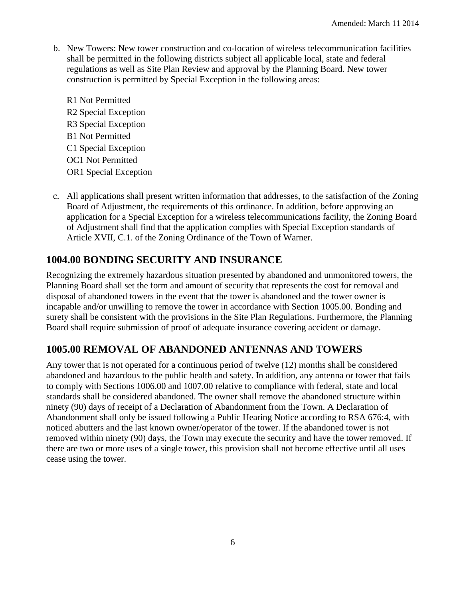- b. New Towers: New tower construction and co-location of wireless telecommunication facilities shall be permitted in the following districts subject all applicable local, state and federal regulations as well as Site Plan Review and approval by the Planning Board. New tower construction is permitted by Special Exception in the following areas:
	- R1 Not Permitted R2 Special Exception R3 Special Exception B1 Not Permitted C1 Special Exception OC1 Not Permitted OR1 Special Exception
- c. All applications shall present written information that addresses, to the satisfaction of the Zoning Board of Adjustment, the requirements of this ordinance. In addition, before approving an application for a Special Exception for a wireless telecommunications facility, the Zoning Board of Adjustment shall find that the application complies with Special Exception standards of Article XVII, C.1. of the Zoning Ordinance of the Town of Warner.

## **1004.00 BONDING SECURITY AND INSURANCE**

Recognizing the extremely hazardous situation presented by abandoned and unmonitored towers, the Planning Board shall set the form and amount of security that represents the cost for removal and disposal of abandoned towers in the event that the tower is abandoned and the tower owner is incapable and/or unwilling to remove the tower in accordance with Section 1005.00. Bonding and surety shall be consistent with the provisions in the Site Plan Regulations. Furthermore, the Planning Board shall require submission of proof of adequate insurance covering accident or damage.

## **1005.00 REMOVAL OF ABANDONED ANTENNAS AND TOWERS**

Any tower that is not operated for a continuous period of twelve (12) months shall be considered abandoned and hazardous to the public health and safety. In addition, any antenna or tower that fails to comply with Sections 1006.00 and 1007.00 relative to compliance with federal, state and local standards shall be considered abandoned. The owner shall remove the abandoned structure within ninety (90) days of receipt of a Declaration of Abandonment from the Town. A Declaration of Abandonment shall only be issued following a Public Hearing Notice according to RSA 676:4, with noticed abutters and the last known owner/operator of the tower. If the abandoned tower is not removed within ninety (90) days, the Town may execute the security and have the tower removed. If there are two or more uses of a single tower, this provision shall not become effective until all uses cease using the tower.